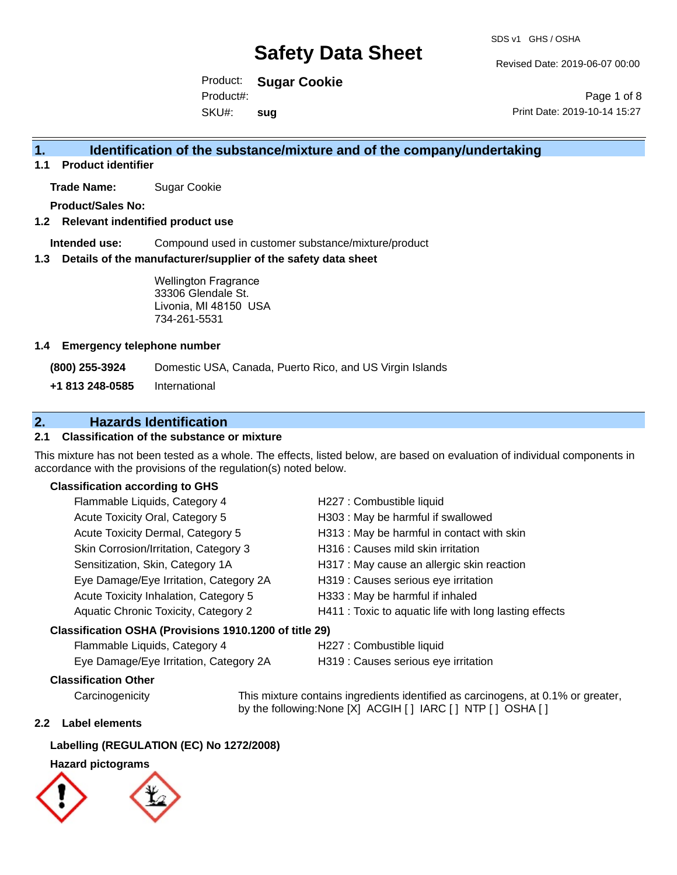Revised Date: 2019-06-07 00:00

Product: **Sugar Cookie** SKU#: Product#: **sug**

Page 1 of 8 Print Date: 2019-10-14 15:27

### **1. Identification of the substance/mixture and of the company/undertaking**

**1.1 Product identifier**

**Trade Name:** Sugar Cookie

**Product/Sales No:**

#### **1.2 Relevant indentified product use**

**Intended use:** Compound used in customer substance/mixture/product

#### **1.3 Details of the manufacturer/supplier of the safety data sheet**

Wellington Fragrance 33306 Glendale St. Livonia, MI 48150 USA 734-261-5531

#### **1.4 Emergency telephone number**

**(800) 255-3924** Domestic USA, Canada, Puerto Rico, and US Virgin Islands

**+1 813 248-0585** International

### **2. Hazards Identification**

#### **2.1 Classification of the substance or mixture**

This mixture has not been tested as a whole. The effects, listed below, are based on evaluation of individual components in accordance with the provisions of the regulation(s) noted below.

#### **Classification according to GHS**

| Flammable Liquids, Category 4                          | H227 : Combustible liquid                              |
|--------------------------------------------------------|--------------------------------------------------------|
| Acute Toxicity Oral, Category 5                        | H303 : May be harmful if swallowed                     |
| Acute Toxicity Dermal, Category 5                      | H313 : May be harmful in contact with skin             |
| Skin Corrosion/Irritation, Category 3                  | H316 : Causes mild skin irritation                     |
| Sensitization, Skin, Category 1A                       | H317 : May cause an allergic skin reaction             |
| Eye Damage/Eye Irritation, Category 2A                 | H319 : Causes serious eye irritation                   |
| Acute Toxicity Inhalation, Category 5                  | H333: May be harmful if inhaled                        |
| Aquatic Chronic Toxicity, Category 2                   | H411 : Toxic to aquatic life with long lasting effects |
| Classification OSHA (Provisions 1910.1200 of title 29) |                                                        |
| Flammable Liquids, Category 4                          | H227 : Combustible liquid                              |
|                                                        |                                                        |

Eye Damage/Eye Irritation, Category 2A H319 : Causes serious eye irritation

#### **Classification Other**

Carcinogenicity This mixture contains ingredients identified as carcinogens, at 0.1% or greater, by the following:None [X] ACGIH [ ] IARC [ ] NTP [ ] OSHA [ ]

#### **2.2 Label elements**

#### **Labelling (REGULATION (EC) No 1272/2008)**

### **Hazard pictograms**

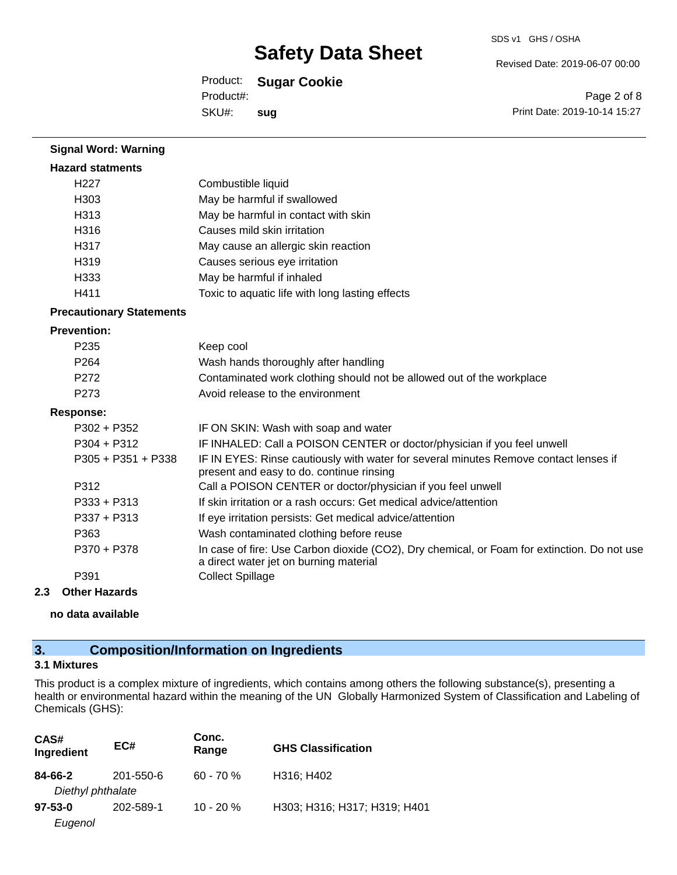Revised Date: 2019-06-07 00:00

Product: **Sugar Cookie**

Product#:

SKU#: **sug**

Page 2 of 8 Print Date: 2019-10-14 15:27

| <b>Signal Word: Warning</b>     |                                                                                                                                       |
|---------------------------------|---------------------------------------------------------------------------------------------------------------------------------------|
| <b>Hazard statments</b>         |                                                                                                                                       |
| H <sub>227</sub>                | Combustible liquid                                                                                                                    |
| H303                            | May be harmful if swallowed                                                                                                           |
| H313                            | May be harmful in contact with skin                                                                                                   |
| H316                            | Causes mild skin irritation                                                                                                           |
| H317                            | May cause an allergic skin reaction                                                                                                   |
| H <sub>319</sub>                | Causes serious eye irritation                                                                                                         |
| H333                            | May be harmful if inhaled                                                                                                             |
| H411                            | Toxic to aquatic life with long lasting effects                                                                                       |
| <b>Precautionary Statements</b> |                                                                                                                                       |
| <b>Prevention:</b>              |                                                                                                                                       |
| P235                            | Keep cool                                                                                                                             |
| P <sub>264</sub>                | Wash hands thoroughly after handling                                                                                                  |
| P272                            | Contaminated work clothing should not be allowed out of the workplace                                                                 |
| P <sub>273</sub>                | Avoid release to the environment                                                                                                      |
| <b>Response:</b>                |                                                                                                                                       |
| $P302 + P352$                   | IF ON SKIN: Wash with soap and water                                                                                                  |
| $P304 + P312$                   | IF INHALED: Call a POISON CENTER or doctor/physician if you feel unwell                                                               |
| $P305 + P351 + P338$            | IF IN EYES: Rinse cautiously with water for several minutes Remove contact lenses if<br>present and easy to do. continue rinsing      |
| P312                            | Call a POISON CENTER or doctor/physician if you feel unwell                                                                           |
| P333 + P313                     | If skin irritation or a rash occurs: Get medical advice/attention                                                                     |
| $P337 + P313$                   | If eye irritation persists: Get medical advice/attention                                                                              |
| P363                            | Wash contaminated clothing before reuse                                                                                               |
| P370 + P378                     | In case of fire: Use Carbon dioxide (CO2), Dry chemical, or Foam for extinction. Do not use<br>a direct water jet on burning material |
| P391                            | <b>Collect Spillage</b>                                                                                                               |

#### **2.3 Other Hazards**

**no data available**

### **3. Composition/Information on Ingredients**

#### **3.1 Mixtures**

This product is a complex mixture of ingredients, which contains among others the following substance(s), presenting a health or environmental hazard within the meaning of the UN Globally Harmonized System of Classification and Labeling of Chemicals (GHS):

| CAS#<br>Ingredient           | EC#       | Conc.<br>Range | <b>GHS Classification</b>    |
|------------------------------|-----------|----------------|------------------------------|
| 84-66-2<br>Diethyl phthalate | 201-550-6 | $60 - 70%$     | H316; H402                   |
| $97 - 53 - 0$<br>Eugenol     | 202-589-1 | $10 - 20 \%$   | H303; H316; H317; H319; H401 |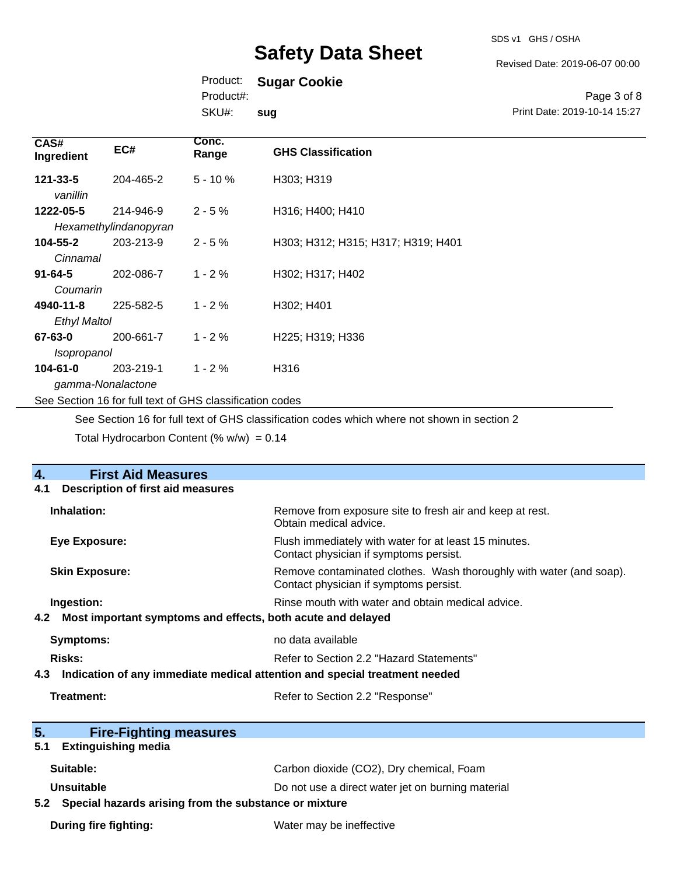SDS v1 GHS / OSHA

Revised Date: 2019-06-07 00:00

Print Date: 2019-10-14 15:27

Page 3 of 8

### Product: **Sugar Cookie**

Product#:

SKU#: **sug**

| CAS#<br>Ingredient                                       | EC#                   | Conc.<br>Range | <b>GHS Classification</b>          |
|----------------------------------------------------------|-----------------------|----------------|------------------------------------|
| 121-33-5<br>vanillin                                     | 204-465-2             | $5 - 10%$      | H303; H319                         |
| 1222-05-5                                                | 214-946-9             | $2 - 5%$       | H316; H400; H410                   |
|                                                          | Hexamethylindanopyran |                |                                    |
| 104-55-2                                                 | 203-213-9             | $2 - 5%$       | H303; H312; H315; H317; H319; H401 |
| Cinnamal                                                 |                       |                |                                    |
| $91 - 64 - 5$                                            | 202-086-7             | $1 - 2%$       | H302; H317; H402                   |
| Coumarin                                                 |                       |                |                                    |
| 4940-11-8                                                | 225-582-5             | $1 - 2%$       | H302; H401                         |
| <b>Ethyl Maltol</b>                                      |                       |                |                                    |
| 67-63-0                                                  | 200-661-7             | $1 - 2%$       | H225; H319; H336                   |
| Isopropanol                                              |                       |                |                                    |
| $104 - 61 - 0$                                           | 203-219-1             | $1 - 2%$       | H316                               |
| gamma-Nonalactone                                        |                       |                |                                    |
| See Section 16 for full text of GHS classification codes |                       |                |                                    |

See Section 16 for full text of GHS classification codes which where not shown in section 2

Total Hydrocarbon Content (%  $w/w$ ) = 0.14

| <b>First Aid Measures</b><br>4.                                                   |                                                                                                               |  |  |
|-----------------------------------------------------------------------------------|---------------------------------------------------------------------------------------------------------------|--|--|
| Description of first aid measures<br>4.1                                          |                                                                                                               |  |  |
| Inhalation:                                                                       | Remove from exposure site to fresh air and keep at rest.<br>Obtain medical advice.                            |  |  |
| <b>Eye Exposure:</b>                                                              | Flush immediately with water for at least 15 minutes.<br>Contact physician if symptoms persist.               |  |  |
| <b>Skin Exposure:</b>                                                             | Remove contaminated clothes. Wash thoroughly with water (and soap).<br>Contact physician if symptoms persist. |  |  |
| Ingestion:                                                                        | Rinse mouth with water and obtain medical advice.                                                             |  |  |
| Most important symptoms and effects, both acute and delayed<br>4.2 <sub>2</sub>   |                                                                                                               |  |  |
| <b>Symptoms:</b>                                                                  | no data available                                                                                             |  |  |
| Risks:                                                                            | Refer to Section 2.2 "Hazard Statements"                                                                      |  |  |
| Indication of any immediate medical attention and special treatment needed<br>4.3 |                                                                                                               |  |  |
| Treatment:<br>Refer to Section 2.2 "Response"                                     |                                                                                                               |  |  |
| 5.<br><b>Fire-Fighting measures</b>                                               |                                                                                                               |  |  |
| <b>Extinguishing media</b><br>5.1                                                 |                                                                                                               |  |  |
| Suitable:                                                                         | Carbon dioxide (CO2), Dry chemical, Foam                                                                      |  |  |
| <b>Unsuitable</b>                                                                 | Do not use a direct water jet on burning material                                                             |  |  |
| Special hazards arising from the substance or mixture<br>5.2                      |                                                                                                               |  |  |
| During fire fighting:                                                             | Water may be ineffective                                                                                      |  |  |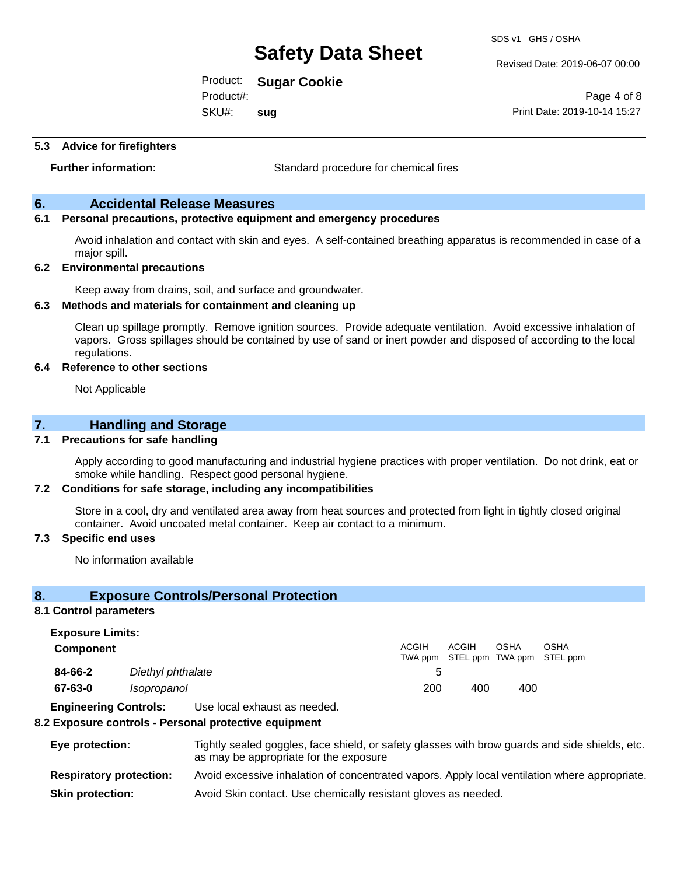Revised Date: 2019-06-07 00:00

Print Date: 2019-10-14 15:27

Page 4 of 8

Product: **Sugar Cookie**

Product#:

SKU#: **sug**

#### **5.3 Advice for firefighters**

**Further information:** Standard procedure for chemical fires

#### **6. Accidental Release Measures**

#### **6.1 Personal precautions, protective equipment and emergency procedures**

Avoid inhalation and contact with skin and eyes. A self-contained breathing apparatus is recommended in case of a major spill.

#### **6.2 Environmental precautions**

Keep away from drains, soil, and surface and groundwater.

#### **6.3 Methods and materials for containment and cleaning up**

Clean up spillage promptly. Remove ignition sources. Provide adequate ventilation. Avoid excessive inhalation of vapors. Gross spillages should be contained by use of sand or inert powder and disposed of according to the local regulations.

#### **6.4 Reference to other sections**

Not Applicable

### **7. Handling and Storage**

#### **7.1 Precautions for safe handling**

Apply according to good manufacturing and industrial hygiene practices with proper ventilation. Do not drink, eat or smoke while handling. Respect good personal hygiene.

#### **7.2 Conditions for safe storage, including any incompatibilities**

Store in a cool, dry and ventilated area away from heat sources and protected from light in tightly closed original container. Avoid uncoated metal container. Keep air contact to a minimum.

#### **7.3 Specific end uses**

No information available

#### **8. Exposure Controls/Personal Protection**

#### **8.1 Control parameters**

**Exposure Limits: Component** ACGIH TWA ppm STEL ppm TWA ppm STEL ppm ACGIH OSHA OSHA **84-66-2** *Diethyl phthalate* 5 **67-63-0** *Isopropanol* 200 400 400

**Engineering Controls:** Use local exhaust as needed.

#### **8.2 Exposure controls - Personal protective equipment**

| Eye protection:                | Tightly sealed goggles, face shield, or safety glasses with brow guards and side shields, etc.<br>as may be appropriate for the exposure |
|--------------------------------|------------------------------------------------------------------------------------------------------------------------------------------|
| <b>Respiratory protection:</b> | Avoid excessive inhalation of concentrated vapors. Apply local ventilation where appropriate.                                            |
| <b>Skin protection:</b>        | Avoid Skin contact. Use chemically resistant gloves as needed.                                                                           |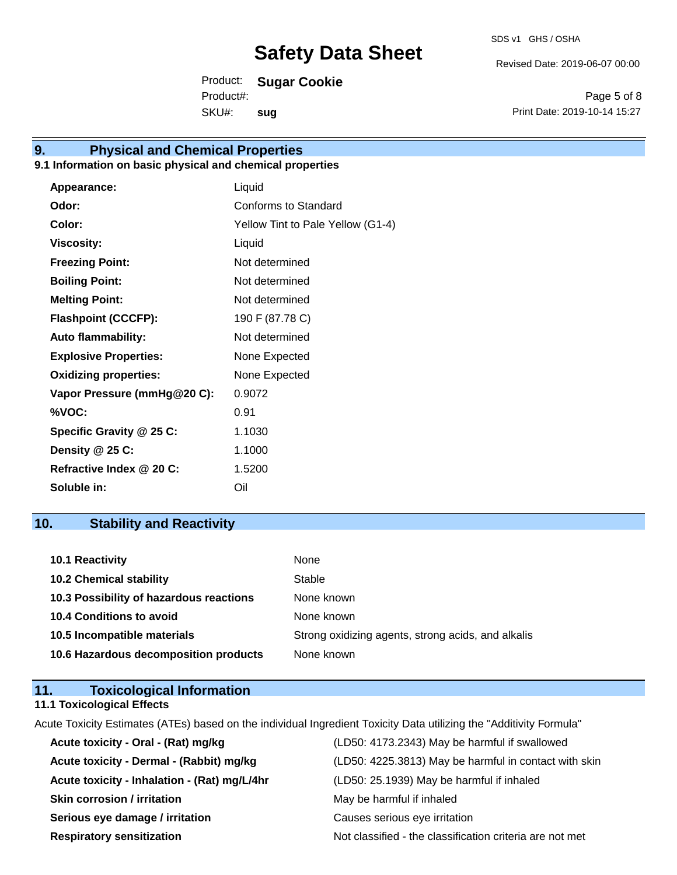Revised Date: 2019-06-07 00:00

Product: **Sugar Cookie**

SKU#: Product#: **sug**

Page 5 of 8 Print Date: 2019-10-14 15:27

# **9. Physical and Chemical Properties**

### **9.1 Information on basic physical and chemical properties**

| Appearance:                  | Liquid                            |
|------------------------------|-----------------------------------|
| Odor:                        | Conforms to Standard              |
| Color:                       | Yellow Tint to Pale Yellow (G1-4) |
| <b>Viscosity:</b>            | Liquid                            |
| <b>Freezing Point:</b>       | Not determined                    |
| <b>Boiling Point:</b>        | Not determined                    |
| <b>Melting Point:</b>        | Not determined                    |
| <b>Flashpoint (CCCFP):</b>   | 190 F (87.78 C)                   |
| <b>Auto flammability:</b>    | Not determined                    |
| <b>Explosive Properties:</b> | None Expected                     |
| <b>Oxidizing properties:</b> | None Expected                     |
| Vapor Pressure (mmHg@20 C):  | 0.9072                            |
| %VOC:                        | 0.91                              |
| Specific Gravity @ 25 C:     | 1.1030                            |
| Density @ 25 C:              | 1.1000                            |
| Refractive Index @ 20 C:     | 1.5200                            |
| Soluble in:                  | Oil                               |

## **10. Stability and Reactivity**

| 10.1 Reactivity                         | None                                               |
|-----------------------------------------|----------------------------------------------------|
| <b>10.2 Chemical stability</b>          | Stable                                             |
| 10.3 Possibility of hazardous reactions | None known                                         |
| <b>10.4 Conditions to avoid</b>         | None known                                         |
| 10.5 Incompatible materials             | Strong oxidizing agents, strong acids, and alkalis |
| 10.6 Hazardous decomposition products   | None known                                         |

| 11. | <b>Toxicological Information</b>  |  |
|-----|-----------------------------------|--|
|     | <b>11.1 Toxicological Effects</b> |  |

Acute Toxicity Estimates (ATEs) based on the individual Ingredient Toxicity Data utilizing the "Additivity Formula"

| Acute toxicity - Oral - (Rat) mg/kg          | (LD50: 4173.2343) May be harmful if swallowed            |
|----------------------------------------------|----------------------------------------------------------|
| Acute toxicity - Dermal - (Rabbit) mg/kg     | (LD50: 4225.3813) May be harmful in contact with skin    |
| Acute toxicity - Inhalation - (Rat) mg/L/4hr | (LD50: 25.1939) May be harmful if inhaled                |
| <b>Skin corrosion / irritation</b>           | May be harmful if inhaled                                |
| Serious eye damage / irritation              | Causes serious eye irritation                            |
| <b>Respiratory sensitization</b>             | Not classified - the classification criteria are not met |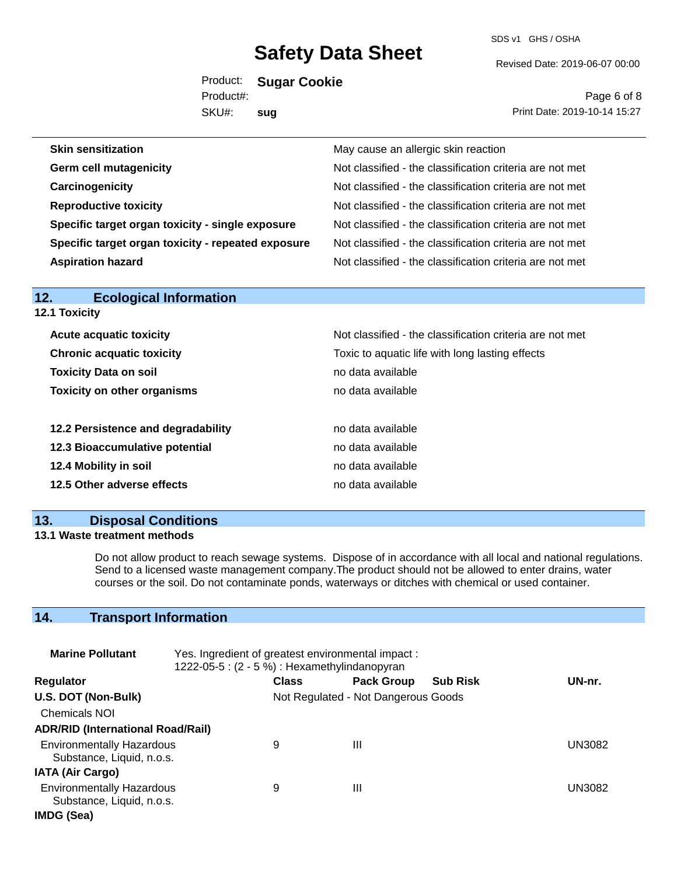SDS v1 GHS / OSHA

Revised Date: 2019-06-07 00:00

Product: **Sugar Cookie** SKU#: Product#: **sug**

Page 6 of 8 Print Date: 2019-10-14 15:27

| <b>12.1 Toxicity</b>               |                                                          |
|------------------------------------|----------------------------------------------------------|
| <b>Acute acquatic toxicity</b>     | Not classified - the classification criteria are not met |
| <b>Chronic acquatic toxicity</b>   | Toxic to aquatic life with long lasting effects          |
| <b>Toxicity Data on soil</b>       | no data available                                        |
| <b>Toxicity on other organisms</b> | no data available                                        |
| 12.2 Persistence and degradability | no data available                                        |
| 12.3 Bioaccumulative potential     | no data available                                        |
| 12.4 Mobility in soil              | no data available                                        |
| 12.5 Other adverse effects         | no data available                                        |

### **13. Disposal Conditions**

**12. Ecological Information** 

#### **13.1 Waste treatment methods**

Do not allow product to reach sewage systems. Dispose of in accordance with all local and national regulations. Send to a licensed waste management company.The product should not be allowed to enter drains, water courses or the soil. Do not contaminate ponds, waterways or ditches with chemical or used container.

## **14. Transport Information**

| <b>Marine Pollutant</b>                                       | Yes. Ingredient of greatest environmental impact:<br>1222-05-5: (2 - 5 %) : Hexamethylindanopyran |              |                                     |                 |               |
|---------------------------------------------------------------|---------------------------------------------------------------------------------------------------|--------------|-------------------------------------|-----------------|---------------|
| <b>Regulator</b>                                              |                                                                                                   | <b>Class</b> | <b>Pack Group</b>                   | <b>Sub Risk</b> | UN-nr.        |
| U.S. DOT (Non-Bulk)                                           |                                                                                                   |              | Not Regulated - Not Dangerous Goods |                 |               |
| <b>Chemicals NOI</b>                                          |                                                                                                   |              |                                     |                 |               |
| <b>ADR/RID (International Road/Rail)</b>                      |                                                                                                   |              |                                     |                 |               |
| <b>Environmentally Hazardous</b><br>Substance, Liquid, n.o.s. |                                                                                                   | 9            | Ш                                   |                 | <b>UN3082</b> |
| <b>IATA (Air Cargo)</b>                                       |                                                                                                   |              |                                     |                 |               |
| <b>Environmentally Hazardous</b><br>Substance, Liquid, n.o.s. |                                                                                                   | 9            | Ш                                   |                 | UN3082        |
| IMDG (Sea)                                                    |                                                                                                   |              |                                     |                 |               |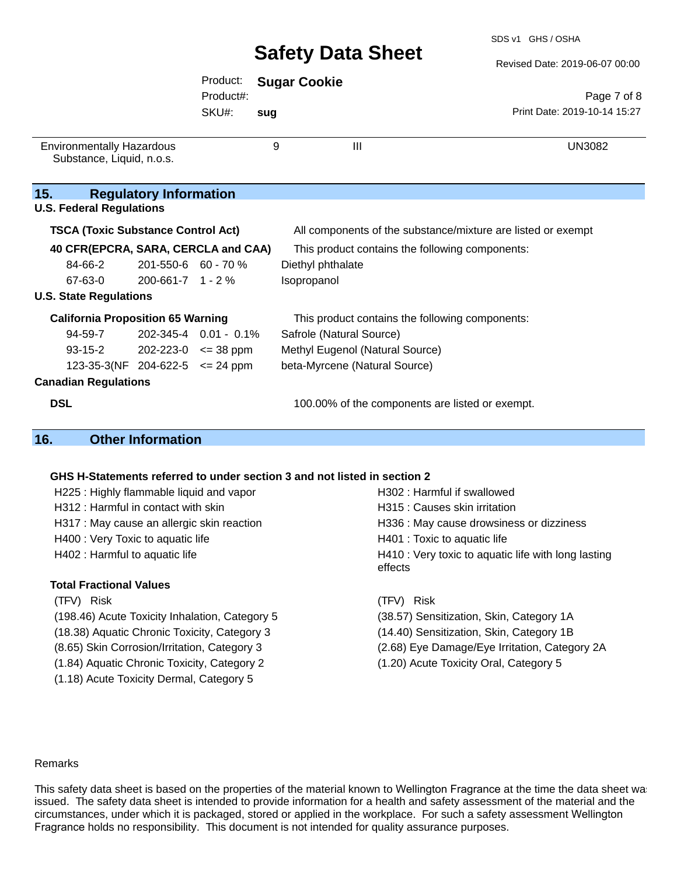#### Revised Date: 2019-06-07 00:00

|                                                                          |                               | Product:                    |     | <b>Sugar Cookie</b>                                          |                              |  |  |
|--------------------------------------------------------------------------|-------------------------------|-----------------------------|-----|--------------------------------------------------------------|------------------------------|--|--|
|                                                                          |                               | Product#:                   |     |                                                              | Page 7 of 8                  |  |  |
|                                                                          |                               | SKU#:                       | sug |                                                              | Print Date: 2019-10-14 15:27 |  |  |
| <b>Environmentally Hazardous</b><br>Substance, Liquid, n.o.s.            |                               |                             | 9   | III                                                          | <b>UN3082</b>                |  |  |
| 15.<br><b>U.S. Federal Regulations</b>                                   | <b>Regulatory Information</b> |                             |     |                                                              |                              |  |  |
| <b>TSCA (Toxic Substance Control Act)</b>                                |                               |                             |     | All components of the substance/mixture are listed or exempt |                              |  |  |
| 40 CFR(EPCRA, SARA, CERCLA and CAA)                                      |                               |                             |     | This product contains the following components:              |                              |  |  |
| 84-66-2                                                                  | 201-550-6 60 - 70 %           |                             |     | Diethyl phthalate                                            |                              |  |  |
| 67-63-0                                                                  | $200 - 661 - 7$ 1 - 2 %       |                             |     | Isopropanol                                                  |                              |  |  |
| <b>U.S. State Regulations</b>                                            |                               |                             |     |                                                              |                              |  |  |
| <b>California Proposition 65 Warning</b>                                 |                               |                             |     | This product contains the following components:              |                              |  |  |
| 94-59-7                                                                  |                               | 202-345-4 0.01 - 0.1%       |     | Safrole (Natural Source)                                     |                              |  |  |
| 93-15-2                                                                  |                               | $202 - 223 - 0 \leq 38$ ppm |     | Methyl Eugenol (Natural Source)                              |                              |  |  |
| 123-35-3(NF 204-622-5 $\leq$ 24 ppm                                      |                               |                             |     | beta-Myrcene (Natural Source)                                |                              |  |  |
| <b>Canadian Regulations</b>                                              |                               |                             |     |                                                              |                              |  |  |
| <b>DSL</b>                                                               |                               |                             |     | 100.00% of the components are listed or exempt.              |                              |  |  |
| 16.                                                                      | <b>Other Information</b>      |                             |     |                                                              |                              |  |  |
|                                                                          |                               |                             |     |                                                              |                              |  |  |
| GHS H-Statements referred to under section 3 and not listed in section 2 |                               |                             |     |                                                              |                              |  |  |
| H302 : Harmful if swallowed<br>H225 : Highly flammable liquid and vapor  |                               |                             |     |                                                              |                              |  |  |

- H312 : Harmful in contact with skin H315 : Causes skin irritation H317 : May cause an allergic skin reaction **H336** : May cause drowsiness or dizziness
- H400 : Very Toxic to aquatic life H401 : Toxic to aquatic life
- 

#### **Total Fractional Values**

(TFV) Risk (TFV) Risk (198.46) Acute Toxicity Inhalation, Category 5 (38.57) Sensitization, Skin, Category 1A (18.38) Aquatic Chronic Toxicity, Category 3 (14.40) Sensitization, Skin, Category 1B (1.84) Aquatic Chronic Toxicity, Category 2 (1.20) Acute Toxicity Oral, Category 5 (1.18) Acute Toxicity Dermal, Category 5

H402 : Harmful to aquatic life **H410** : Very toxic to aquatic life with long lasting effects

(8.65) Skin Corrosion/Irritation, Category 3 (2.68) Eye Damage/Eye Irritation, Category 2A

#### Remarks

This safety data sheet is based on the properties of the material known to Wellington Fragrance at the time the data sheet was issued. The safety data sheet is intended to provide information for a health and safety assessment of the material and the circumstances, under which it is packaged, stored or applied in the workplace. For such a safety assessment Wellington Fragrance holds no responsibility. This document is not intended for quality assurance purposes.